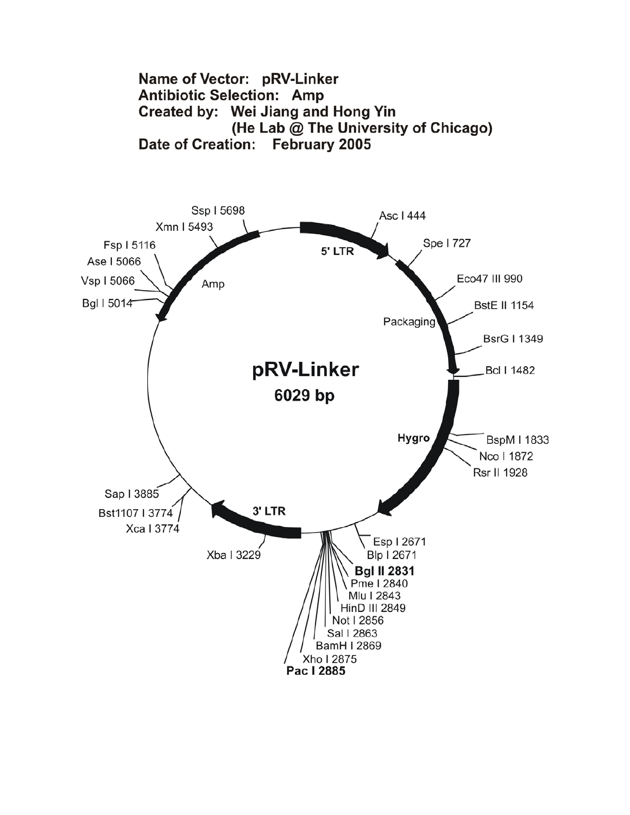

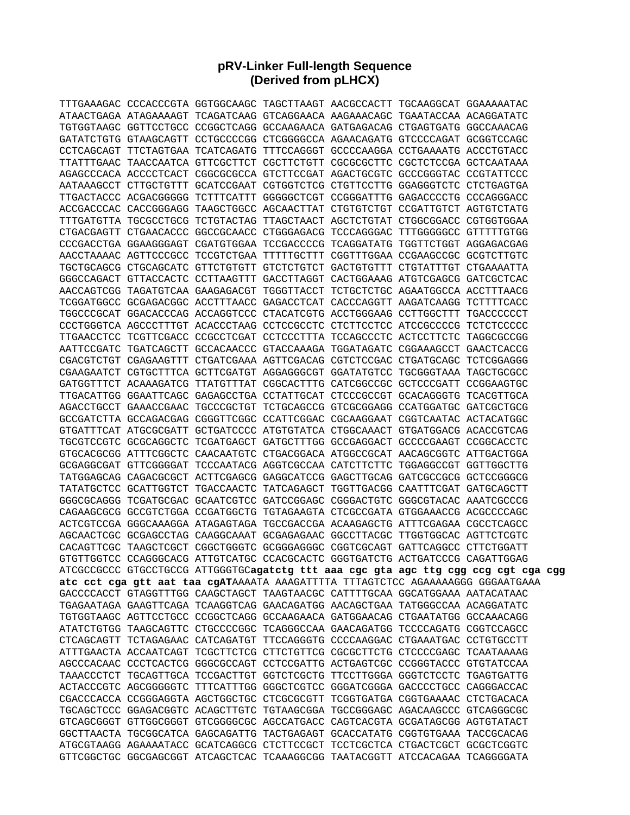## **pRV-Linker Full-length Sequence (Derived from pLHCX)**

| TTTGAAAGAC CCCACCCGTA GGTGGCAAGC TAGCTTAAGT AACGCCACTT TGCAAGGCAT GGAAAAATAC |  |  |                                                                                    |  |
|------------------------------------------------------------------------------|--|--|------------------------------------------------------------------------------------|--|
| ATAACTGAGA ATAGAAAAGT TCAGATCAAG GTCAGGAACA AAGAAACAGC TGAATACCAA ACAGGATATC |  |  |                                                                                    |  |
| TGTGGTAAGC GGTTCCTGCC CCGGCTCAGG GCCAAGAACA GATGAGACAG CTGAGTGATG GGCCAAACAG |  |  |                                                                                    |  |
| GATATCTGTG GTAAGCAGTT CCTGCCCCGG CTCGGGGCCA AGAACAGATG GTCCCCAGAT GCGGTCCAGC |  |  |                                                                                    |  |
| CCTCAGCAGT TTCTAGTGAA TCATCAGATG TTTCCAGGGT GCCCCAAGGA CCTGAAAATG ACCCTGTACC |  |  |                                                                                    |  |
| TTATTTGAAC TAACCAATCA GTTCGCTTCT CGCTTCTGTT CGCGCGCTTC CGCTCTCCGA GCTCAATAAA |  |  |                                                                                    |  |
| AGAGCCCACA ACCCCTCACT CGGCGCGCCA GTCTTCCGAT AGACTGCGTC GCCCGGGTAC CCGTATTCCC |  |  |                                                                                    |  |
| AATAAAGCCT CTTGCTGTTT GCATCCGAAT CGTGGTCTCG CTGTTCCTTG GGAGGGTCTC CTCTGAGTGA |  |  |                                                                                    |  |
| TTGACTACCC ACGACGGGGG TCTTTCATTT GGGGGCTCGT CCGGGATTTG GAGACCCCTG CCCAGGGACC |  |  |                                                                                    |  |
| ACCGACCCAC CACCGGGAGG TAAGCTGGCC AGCAACTTAT CTGTGTCTGT CCGATTGTCT AGTGTCTATG |  |  |                                                                                    |  |
| TTTGATGTTA TGCGCCTGCG TCTGTACTAG TTAGCTAACT AGCTCTGTAT CTGGCGGACC CGTGGTGGAA |  |  |                                                                                    |  |
| CTGACGAGTT CTGAACACCC GGCCGCAACC CTGGGAGACG TCCCAGGGAC TTTGGGGGCC GTTTTTGTGG |  |  |                                                                                    |  |
| CCCGACCTGA GGAAGGGAGT CGATGTGGAA TCCGACCCCG TCAGGATATG TGGTTCTGGT AGGAGACGAG |  |  |                                                                                    |  |
| AACCTAAAAC AGTTCCCGCC TCCGTCTGAA TTTTTGCTTT CGGTTTGGAA CCGAAGCCGC GCGTCTTGTC |  |  |                                                                                    |  |
| TGCTGCAGCG CTGCAGCATC GTTCTGTGTT GTCTCTGTCT GACTGTGTTT CTGTATTTGT CTGAAAATTA |  |  |                                                                                    |  |
| GGGCCAGACT GTTACCACTC CCTTAAGTTT GACCTTAGGT CACTGGAAAG ATGTCGAGCG GATCGCTCAC |  |  |                                                                                    |  |
|                                                                              |  |  |                                                                                    |  |
| TCGGATGGCC GCGAGACGGC ACCTTTAACC GAGACCTCAT CACCCAGGTT AAGATCAAGG TCTTTTCACC |  |  |                                                                                    |  |
| TGGCCCGCAT GGACACCCAG ACCAGGTCCC CTACATCGTG ACCTGGGAAG CCTTGGCTTT TGACCCCCCT |  |  |                                                                                    |  |
| CCCTGGGTCA AGCCCTTTGT ACACCCTAAG CCTCCGCCTC CTCTTCCTCC ATCCGCCCCG TCTCTCCCCC |  |  |                                                                                    |  |
| TTGAACCTCC TCGTTCGACC CCGCCTCGAT CCTCCCTTTA TCCAGCCCTC ACTCCTTCTC TAGGCGCCGG |  |  |                                                                                    |  |
| AATTCCGATC TGATCAGCTT GCCACAACCC GTACCAAAGA TGGATAGATC CGGAAAGCCT GAACTCACCG |  |  |                                                                                    |  |
| CGACGTCTGT CGAGAAGTTT CTGATCGAAA AGTTCGACAG CGTCTCCGAC CTGATGCAGC TCTCGGAGGG |  |  |                                                                                    |  |
| CGAAGAATCT CGTGCTTTCA GCTTCGATGT AGGAGGGCGT GGATATGTCC TGCGGGTAAA TAGCTGCGCC |  |  |                                                                                    |  |
| GATGGTTTCT ACAAAGATCG TTATGTTTAT CGGCACTTTG CATCGGCCGC GCTCCCGATT CCGGAAGTGC |  |  |                                                                                    |  |
| TTGACATTGG GGAATTCAGC GAGAGCCTGA CCTATTGCAT CTCCCGCCGT GCACAGGGTG TCACGTTGCA |  |  |                                                                                    |  |
| AGACCTGCCT GAAACCGAAC TGCCCGCTGT TCTGCAGCCG GTCGCGGAGG CCATGGATGC GATCGCTGCG |  |  |                                                                                    |  |
| GCCGATCTTA GCCAGACGAG CGGGTTCGGC CCATTCGGAC CGCAAGGAAT CGGTCAATAC ACTACATGGC |  |  |                                                                                    |  |
| GTGATTTCAT ATGCGCGATT GCTGATCCCC ATGTGTATCA CTGGCAAACT GTGATGGACG ACACCGTCAG |  |  |                                                                                    |  |
| TGCGTCCGTC GCGCAGGCTC TCGATGAGCT GATGCTTTGG GCCGAGGACT GCCCCGAAGT CCGGCACCTC |  |  |                                                                                    |  |
| GTGCACGCGG ATTTCGGCTC CAACAATGTC CTGACGGACA ATGGCCGCAT AACAGCGGTC ATTGACTGGA |  |  |                                                                                    |  |
| GCGAGGCGAT GTTCGGGGAT TCCCAATACG AGGTCGCCAA CATCTTCTTC TGGAGGCCGT GGTTGGCTTG |  |  |                                                                                    |  |
| TATGGAGCAG CAGACGCGCT ACTTCGAGCG GAGGCATCCG GAGCTTGCAG GATCGCCGCG GCTCCGGGCG |  |  |                                                                                    |  |
| TATATGCTCC GCATTGGTCT TGACCAACTC TATCAGAGCT TGGTTGACGG CAATTTCGAT GATGCAGCTT |  |  |                                                                                    |  |
| GGGCGCAGGG TCGATGCGAC GCAATCGTCC GATCCGGAGC CGGGACTGTC GGGCGTACAC AAATCGCCCG |  |  |                                                                                    |  |
| CAGAAGCGCG GCCGTCTGGA CCGATGGCTG TGTAGAAGTA CTCGCCGATA GTGGAAACCG ACGCCCCAGC |  |  |                                                                                    |  |
| ACTCGTCCGA GGGCAAAGGA ATAGAGTAGA TGCCGACCGA ACAAGAGCTG ATTTCGAGAA CGCCTCAGCC |  |  |                                                                                    |  |
| AGCAACTCGC GCGAGCCTAG CAAGGCAAAT GCGAGAGAAC GGCCTTACGC TTGGTGGCAC AGTTCTCGTC |  |  |                                                                                    |  |
| CACAGTTCGC TAAGCTCGCT CGGCTGGGTC GCGGGAGGGC CGGTCGCAGT GATTCAGGCC CTTCTGGATT |  |  |                                                                                    |  |
| GTGTTGGTCC CCAGGGCACG ATTGTCATGC CCACGCACTC GGGTGATCTG ACTGATCCCG CAGATTGGAG |  |  |                                                                                    |  |
|                                                                              |  |  | ATCGCCGCCC GTGCCTGCCG ATTGGGTGCagatctg ttt aaa cgc gta agc ttg cgg ccg cgt cga cgg |  |
|                                                                              |  |  | atc cct cga gtt aat taa cgATAAAATA AAAGATTTTA TTTAGTCTCC AGAAAAAGGG GGGAATGAAA     |  |
| GACCCCACCT GTAGGTTTGG CAAGCTAGCT TAAGTAACGC CATTTTGCAA GGCATGGAAA AATACATAAC |  |  |                                                                                    |  |
| TGAGAATAGA GAAGTTCAGA TCAAGGTCAG GAACAGATGG AACAGCTGAA TATGGGCCAA ACAGGATATC |  |  |                                                                                    |  |
| TGTGGTAAGC AGTTCCTGCC CCGGCTCAGG GCCAAGAACA GATGGAACAG CTGAATATGG GCCAAACAGG |  |  |                                                                                    |  |
| ATATCTGTGG TAAGCAGTTC CTGCCCCGGC TCAGGGCCAA GAACAGATGG TCCCCAGATG CGGTCCAGCC |  |  |                                                                                    |  |
| CTCAGCAGTT TCTAGAGAAC CATCAGATGT TTCCAGGGTG CCCCAAGGAC CTGAAATGAC CCTGTGCCTT |  |  |                                                                                    |  |
| ATTTGAACTA ACCAATCAGT TCGCTTCTCG CTTCTGTTCG CGCGCTTCTG CTCCCCGAGC TCAATAAAAG |  |  |                                                                                    |  |
| AGCCCACAAC CCCTCACTCG GGGCGCCAGT CCTCCGATTG ACTGAGTCGC CCGGGTACCC GTGTATCCAA |  |  |                                                                                    |  |
| TAAACCCTCT TGCAGTTGCA TCCGACTTGT GGTCTCGCTG TTCCTTGGGA GGGTCTCCTC TGAGTGATTG |  |  |                                                                                    |  |
| ACTACCCGTC AGCGGGGGTC TTTCATTTGG GGGCTCGTCC GGGATCGGGA GACCCCTGCC CAGGGACCAC |  |  |                                                                                    |  |
| CGACCCACCA CCGGGAGGTA AGCTGGCTGC CTCGCGCGTT TCGGTGATGA CGGTGAAAAC CTCTGACACA |  |  |                                                                                    |  |
| TGCAGCTCCC GGAGACGGTC ACAGCTTGTC TGTAAGCGGA TGCCGGGAGC AGACAAGCCC GTCAGGGCGC |  |  |                                                                                    |  |
| GTCAGCGGGT GTTGGCGGGT GTCGGGGCGC AGCCATGACC CAGTCACGTA GCGATAGCGG AGTGTATACT |  |  |                                                                                    |  |
| GGCTTAACTA TGCGGCATCA GAGCAGATTG TACTGAGAGT GCACCATATG CGGTGTGAAA TACCGCACAG |  |  |                                                                                    |  |
| ATGCGTAAGG AGAAAATACC GCATCAGGCG CTCTTCCGCT TCCTCGCTCA CTGACTCGCT GCGCTCGGTC |  |  |                                                                                    |  |
| GTTCGGCTGC GGCGAGCGGT ATCAGCTCAC TCAAAGGCGG TAATACGGTT ATCCACAGAA TCAGGGGATA |  |  |                                                                                    |  |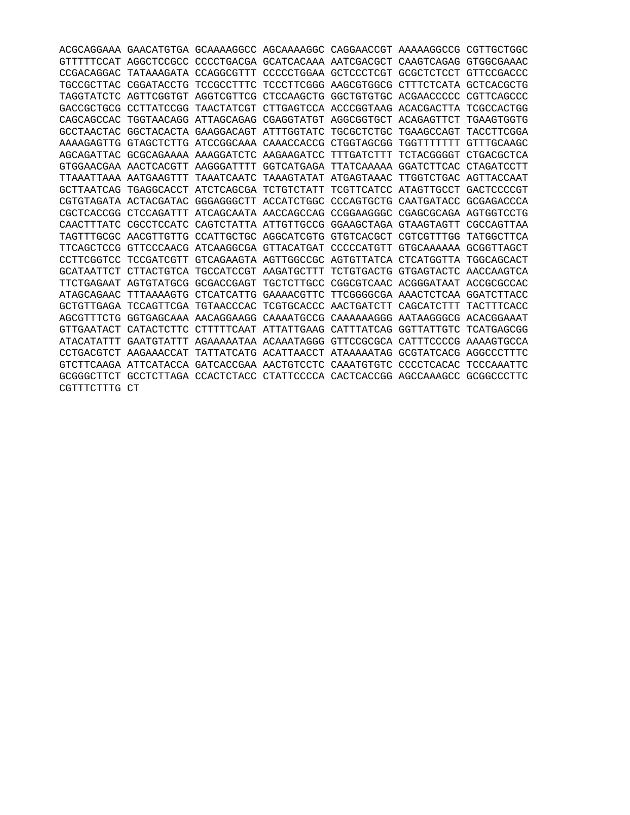|                       |                                  |                                             | ACGCAGGAAA GAACATGTGA GCAAAAGGCC AGCAAAAGGC CAGGAACCGT AAAAAGGCCG            |                                             |                       | CGTTGCTGGC |
|-----------------------|----------------------------------|---------------------------------------------|------------------------------------------------------------------------------|---------------------------------------------|-----------------------|------------|
|                       |                                  |                                             | GTTTTTCCAT AGGCTCCGCC CCCCTGACGA GCATCACAAA AATCGACGCT CAAGTCAGAG GTGGCGAAAC |                                             |                       |            |
| CCGACAGGAC            | TATAAAGATA CCAGGCGTTT            |                                             |                                                                              | CCCCCTGGAA GCTCCCTCGT GCGCTCTCCT            |                       | GTTCCGACCC |
| TGCCGCTTAC            |                                  | CGGATACCTG TCCGCCTTTC                       |                                                                              | TCCCTTCGGG AAGCGTGGCG CTTTCTCATA GCTCACGCTG |                       |            |
|                       |                                  | TAGGTATCTC AGTTCGGTGT AGGTCGTTCG            |                                                                              | CTCCAAGCTG GGCTGTGTGC ACGAACCCCC            |                       | CGTTCAGCCC |
|                       |                                  | GACCGCTGCG CCTTATCCGG TAACTATCGT            |                                                                              | CTTGAGTCCA ACCCGGTAAG ACACGACTTA TCGCCACTGG |                       |            |
|                       |                                  |                                             | CAGCAGCCAC TGGTAACAGG ATTAGCAGAG CGAGGTATGT AGGCGGTGCT ACAGAGTTCT            |                                             |                       | TGAAGTGGTG |
| GCCTAACTAC            |                                  |                                             | GGCTACACTA GAAGGACAGT ATTTGGTATC TGCGCTCTGC TGAAGCCAGT                       |                                             |                       | TACCTTCGGA |
|                       |                                  |                                             | AAAAGAGTTG GTAGCTCTTG ATCCGGCAAA CAAACCACCG CTGGTAGCGG                       |                                             | TGGTTTTTTTTT          | GTTTGCAAGC |
| AGCAGATTAC            |                                  |                                             | GCGCAGAAAA AAAGGATCTC AAGAAGATCC TTTGATCTTT                                  |                                             | TCTACGGGGT            | CTGACGCTCA |
|                       | GTGGAACGAA AACTCACGTT AAGGGATTTT |                                             |                                                                              | GGTCATGAGA TTATCAAAAA GGATCTTCAC            |                       | CTAGATCCTT |
|                       |                                  | TTAAATTAAA AATGAAGTTT TAAATCAATC            |                                                                              | TAAAGTATAT ATGAGTAAAC TTGGTCTGAC AGTTACCAAT |                       |            |
|                       |                                  | GCTTAATCAG TGAGGCACCT ATCTCAGCGA TCTGTCTATT |                                                                              | TCGTTCATCC ATAGTTGCCT GACTCCCCGT            |                       |            |
|                       | CGTGTAGATA ACTACGATAC            |                                             | GGGAGGGCTT ACCATCTGGC CCCAGTGCTG CAATGATACC                                  |                                             |                       | GCGAGACCCA |
| CGCTCACCGG            | CTCCAGATTT                       |                                             | ATCAGCAATA AACCAGCCAG CCGGAAGGGC                                             |                                             | CGAGCGCAGA AGTGGTCCTG |            |
| CAACTTTATC            |                                  |                                             | CGCCTCCATC CAGTCTATTA ATTGTTGCCG GGAAGCTAGA GTAAGTAGTT                       |                                             |                       | CGCCAGTTAA |
|                       |                                  |                                             | TAGTTTGCGC AACGTTGTTG CCATTGCTGC AGGCATCGTG GTGTCACGCT CGTCGTTTGG TATGGCTTCA |                                             |                       |            |
| TTCAGCTCCG            |                                  |                                             | GTTCCCAACG ATCAAGGCGA GTTACATGAT CCCCCATGTT GTGCAAAAAA GCGGTTAGCT            |                                             |                       |            |
| CCTTCGGTCC            | TCCGATCGTT                       |                                             | GTCAGAAGTA AGTTGGCCGC AGTGTTATCA CTCATGGTTA TGGCAGCACT                       |                                             |                       |            |
| GCATAATTCT            |                                  | CTTACTGTCA TGCCATCCGT AAGATGCTTT            |                                                                              | TCTGTGACTG GTGAGTACTC AACCAAGTCA            |                       |            |
| TTCTGAGAAT AGTGTATGCG |                                  |                                             | GCGACCGAGT TGCTCTTGCC CGGCGTCAAC ACGGGATAAT ACCGCGCCAC                       |                                             |                       |            |
| ATAGCAGAAC            |                                  |                                             | TTTAAAAGTG CTCATCATTG GAAAACGTTC TTCGGGGCGA AAACTCTCAA GGATCTTACC            |                                             |                       |            |
| GCTGTTGAGA            |                                  | TCCAGTTCGA TGTAACCCAC                       | TCGTGCACCC AACTGATCTT                                                        |                                             | CAGCATCTTT            | TACTTTCACC |
| AGCGTTTCTG            |                                  |                                             | GGTGAGCAAA AACAGGAAGG CAAAATGCCG CAAAAAAGGG AATAAGGGCG ACACGGAAAT            |                                             |                       |            |
| GTTGAATACT            | CATACTCTTC                       |                                             | CTTTTTCAAT ATTATTGAAG CATTTATCAG GGTTATTGTC                                  |                                             |                       | TCATGAGCGG |
| ATACATATTT            |                                  |                                             | GAATGTATTT AGAAAAATAA ACAAATAGGG GTTCCGCGCA CATTTCCCCG AAAAGTGCCA            |                                             |                       |            |
|                       |                                  |                                             | CCTGACGTCT AAGAAACCAT TATTATCATG ACATTAACCT ATAAAAATAG GCGTATCACG AGGCCCTTTC |                                             |                       |            |
|                       |                                  |                                             | GTCTTCAAGA ATTCATACCA GATCACCGAA AACTGTCCTC CAAATGTGTC CCCCTCACAC TCCCAAATTC |                                             |                       |            |
| GCGGGCTTCT            |                                  |                                             | GCCTCTTAGA CCACTCTACC CTATTCCCCA CACTCACCGG AGCCAAAGCC GCGGCCCTTC            |                                             |                       |            |
| CGTTTCTTTG CT         |                                  |                                             |                                                                              |                                             |                       |            |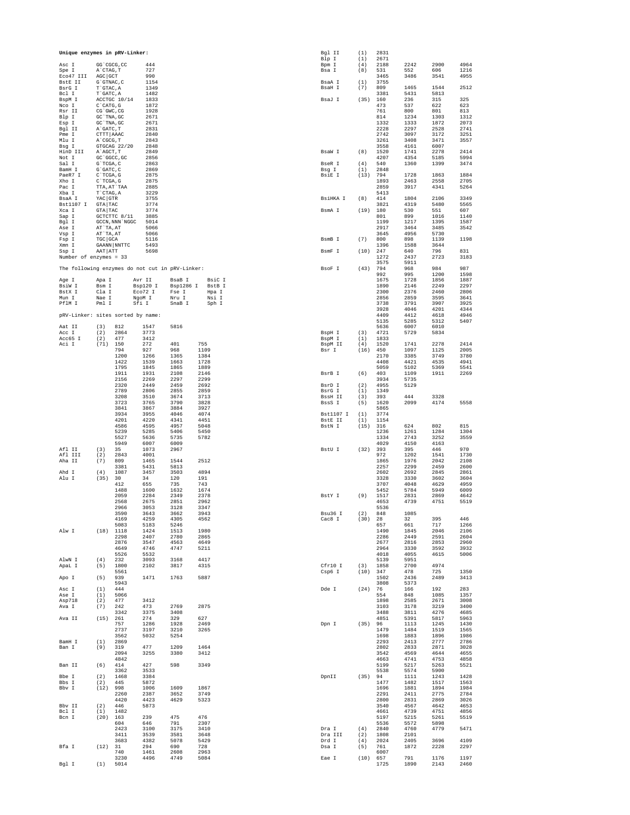| Unique enzymes in pRV-Linker:                   |                           |                 |                     |                    |                  | Bgl II<br>Blp I             | (1)<br>(1)  | 2831<br>2671 |              |              |              |
|-------------------------------------------------|---------------------------|-----------------|---------------------|--------------------|------------------|-----------------------------|-------------|--------------|--------------|--------------|--------------|
| Asc I<br>Spe I                                  | GG 'CGCG, CC<br>A`CTAG, T |                 | 444<br>727          |                    |                  | Bpm I<br>Bsa I              | (4)<br>(8)  | 2188<br>531  | 2242<br>552  | 2900<br>606  | 4964<br>1216 |
| Eco47 III                                       | AGC GCT                   |                 | 990                 |                    |                  |                             |             | 3465         | 3486         | 3541         | 4955         |
| BstE II<br>BsrG I                               | G`GTNAC, C<br>T`GTAC, A   |                 | 1154<br>1349        |                    |                  | BsaA I<br>BsaH I            | (1)<br>(7)  | 3755<br>809  | 1465         | 1544         | 2512         |
| Bcl I<br>BspM I                                 | T`GATC, A                 | ACCTGC 10/14    | 1482<br>1833        |                    |                  | BsaJ I                      | (35)        | 3381<br>160  | 5431<br>236  | 5813<br>315  | 325          |
| Nco I                                           | $C$ $CATG$ , $G$          |                 | 1872                |                    |                  |                             |             | 473          | 537          | 622          | 623          |
| Rsr II<br>Blp I                                 | CG`GWC, CG<br>GC `TNA, GC |                 | 1928<br>2671        |                    |                  |                             |             | 761<br>814   | 800<br>1234  | 801<br>1303  | 813<br>1312  |
| Esp I<br>Bgl II                                 | GC `TNA, GC<br>A`GATC, T  |                 | 2671<br>2831        |                    |                  |                             |             | 1332<br>2228 | 1333<br>2297 | 1872<br>2528 | 2073<br>2741 |
| Pme I<br>Mlu I                                  | CTTT AAAC<br>A`CGCG, T    |                 | 2840<br>2843        |                    |                  |                             |             | 2742<br>3261 | 3097<br>3408 | 3172<br>3471 | 3251<br>3557 |
| Bsg I                                           |                           | GTGCAG 22/20    | 2848                |                    |                  |                             |             | 3558         | 4161         | 6007         |              |
| HinD III<br>Not I                               | A`AGCT, T<br>GC `GGCC, GC |                 | 2849<br>2856        |                    |                  | BsaW I                      | (8)         | 1520<br>4207 | 1741<br>4354 | 2278<br>5185 | 2414<br>5994 |
| Sal I<br>BamH I                                 | G`TCGA, C<br>G`GATC, C    |                 | 2863<br>2869        |                    |                  | BseR I<br>Bsg I             | (4)<br>(1)  | 540<br>2848  | 1360         | 1399         | 3474         |
| PaeR7 I                                         | C`TCGA, G                 |                 | 2875                |                    |                  | BsiE I                      | (13)        | 794          | 1728         | 1863         | 1884<br>2705 |
| Xho I<br>Pac I                                  | C`TCGA, G<br>TTA, AT`TAA  |                 | 2875<br>2885        |                    |                  |                             |             | 1893<br>2859 | 2463<br>3917 | 2558<br>4341 | 5264         |
| Xba I<br>BsaA I                                 | T`CTAG, A<br>YAC GTR      |                 | 3229<br>3755        |                    |                  | BsiHKA I                    | (8)         | 5413<br>414  | 1804         | 2106         | 3349         |
| Bst1107 I<br>Xca I                              | GTA TAC<br>GTA TAC        |                 | 3774<br>3774        |                    |                  | BsmA I                      | (19)        | 3821<br>180  | 4319<br>530  | 5480<br>551  | 5565<br>607  |
| Sap I                                           |                           | GCTCTTC 8/11    | 3885<br>5014        |                    |                  |                             |             | 801<br>1199  | 899<br>1217  | 1016<br>1395 | 1140         |
| Bgl I<br>Ase I                                  | AT`TA, AT                 | GCCN, NNN 'NGGC | 5066                |                    |                  |                             |             | 2917         | 3464         | 3485         | 1587<br>3542 |
| Vsp I<br>Fsp I                                  | AT`TA, AT<br>TGC GCA      |                 | 5066<br>5116        |                    |                  | BsmB I                      | (7)         | 3645<br>800  | 4956<br>898  | 5730<br>1139 | 1198         |
| Xmn I<br>Ssp I                                  | AAT ATT                   | GAANN NNTTC     | 5493<br>5698        |                    |                  | BsmF I                      | (10)        | 1396<br>247  | 1588<br>640  | 3644<br>796  | 831          |
| Number of enzymes = 33                          |                           |                 |                     |                    |                  |                             |             | 1272<br>3575 | 2437<br>5911 | 2723         | 3183         |
| The following enzymes do not cut in pRV-Linker: |                           |                 |                     |                    |                  | BsoF I                      | (43)        | 794          | 968          | 984          | 987          |
| Age I                                           | Apa I                     |                 | Avr II              | BsaB I             | BsiC I           |                             |             | 992<br>1675  | 995<br>1728  | 1200<br>1856 | 1598<br>1887 |
| BsiW I<br>BstX I                                | Bsm I<br>Cla I            |                 | Bsp120 I<br>Eco72 I | Bsp1286 I<br>Fse I | Bst B T<br>Hpa I |                             |             | 1890<br>2300 | 2146<br>2376 | 2249<br>2460 | 2297<br>2806 |
| Mun I                                           | Nae I<br>Pml I            |                 | NgoM I              | Nru I<br>SnaB I    | Nsi I<br>Sph I   |                             |             | 2856         | 2859         | 3595         | 3641         |
| PflM I                                          |                           |                 | Sfi I               |                    |                  |                             |             | 3738<br>3928 | 3791<br>4046 | 3907<br>4201 | 3925<br>4344 |
| pRV-Linker: sites sorted by name:               |                           |                 |                     |                    |                  |                             |             | 4409<br>5135 | 4412<br>5285 | 4618<br>5312 | 4946<br>5407 |
| Aat II<br>Acc I                                 | (3)<br>(2)                | 812<br>2864     | 1547<br>3773        | 5816               |                  | BspH I                      | (3)         | 5636<br>4721 | 6007<br>5729 | 6010<br>5834 |              |
| Acc65 I                                         | (2)                       | 477             | 3412                |                    |                  | BspM I                      | (1)         | 1833         |              |              |              |
| Aci I                                           | $(71)$ 150                | 794             | 272<br>927          | 401<br>968         | 755<br>1109      | BspM II<br>Bsr I            | (4)<br>(16) | 1520<br>450  | 1741<br>1097 | 2278<br>1125 | 2414<br>2005 |
|                                                 |                           | 1200<br>1422    | 1266<br>1539        | 1365<br>1663       | 1384<br>1728     |                             |             | 2170<br>4408 | 3385<br>4421 | 3749<br>4535 | 3780<br>4941 |
|                                                 |                           | 1795<br>1911    | 1845<br>1931        | 1865<br>2108       | 1889<br>2146     | BsrB I                      | (6)         | 5059<br>403  | 5102<br>1109 | 5369<br>1911 | 5541<br>2269 |
|                                                 |                           | 2156            | 2269                | 2297               | 2299             |                             |             | 3934         | 5735         |              |              |
|                                                 |                           | 2320<br>2789    | 2449<br>2806        | 2459<br>2855       | 2692<br>2859     | BsrD I<br>BsrG I            | (2)<br>(1)  | 4955<br>1349 | 5129         |              |              |
|                                                 |                           | 3208<br>3723    | 3510<br>3765        | 3674<br>3790       | 3713<br>3828     | BssH II<br>BssS I           | (3)<br>(5)  | 393<br>1620  | 444<br>2099  | 3328<br>4174 | 5558         |
|                                                 |                           | 3841            | 3867                | 3884               | 3927             |                             |             | 5865         |              |              |              |
|                                                 |                           | 3934<br>4201    | 3955<br>4220        | 4046<br>4341       | 4074<br>4451     | Bst1107 I<br><b>BstE II</b> | (1)<br>(1)  | 3774<br>1154 |              |              |              |
|                                                 |                           | 4586<br>5239    | 4595<br>5285        | 4957<br>5406       | 5048<br>5450     | BstN I                      | (15)        | 316<br>1236  | 624<br>1261  | 802<br>1284  | 815<br>1304  |
|                                                 |                           | 5527<br>5949    | 5636<br>6007        | 5735<br>6009       | 5782             |                             |             | 1334<br>4029 | 2743<br>4150 | 3252<br>4163 | 3559         |
| Afl II                                          | (3)                       | 35              | 1073                | 2967               |                  | BstU I                      | (32) 393    |              | 395          | 446          | 970          |
| Afl III<br>Aha II                               | (2)<br>(7)                | 2843<br>809     | 4001<br>1465        | 1544               | 2512             |                             |             | 972<br>1865  | 1202<br>1976 | 1541<br>2042 | 1730<br>2108 |
| Ahd I                                           | (4)                       | 3381<br>1087    | 5431<br>3457        | 5813<br>3503       | 4894             |                             |             | 2257<br>2602 | 2299<br>2692 | 2459<br>2845 | 2600<br>2861 |
| Alu I                                           | (35)                      | 30<br>412       | 34<br>655           | 120<br>735         | 191<br>743       |                             |             | 3328<br>3707 | 3330<br>4048 | 3602<br>4629 | 3604<br>4959 |
|                                                 |                           | 1488<br>2059    | 1600                | 1632               | 1674<br>2378     |                             |             | 5452         | 5784         | 5949         | 6009         |
|                                                 |                           | 2568            | 2284<br>2675        | 2349<br>2851       | 2962             | BstY I                      | (9)         | 1517<br>4653 | 2831<br>4739 | 2869<br>4751 | 4642<br>5519 |
|                                                 |                           | 2966<br>3590    | 3053<br>3643        | 3128<br>3662       | 3347<br>3943     | Bsu36 I                     | (2)         | 5536<br>848  | 1085         |              |              |
|                                                 |                           | 4169<br>5083    | 4259<br>5183        | 4305<br>5246       | 4562             | Cac8 I                      | (30)        | 28<br>657    | 32<br>661    | 395<br>717   | 446<br>1266  |
| Alw I                                           | (18)                      | 1118            | 1424                | 1513               | 1980             |                             |             | 1490         | 1845         | 2046         | 2106         |
|                                                 |                           | 2298<br>2876    | 2407<br>3547        | 2780<br>4563       | 2865<br>4649     |                             |             | 2286<br>2677 | 2449<br>2816 | 2591<br>2853 | 2604<br>2960 |
|                                                 |                           | 4649<br>5526    | 4746<br>5532        | 4747               | 5211             |                             |             | 2964<br>4018 | 3330<br>4055 | 3592<br>4615 | 3932<br>5006 |
| AlwN I<br>ApaL I                                | (4)<br>(5)                | 232<br>1800     | 3093<br>2102        | 3168<br>3817       | 4417<br>4315     | Cfr10 I                     | (3)         | 5139<br>1858 | 5951<br>2700 | 4974         |              |
| Apo I                                           | (5)                       | 5561<br>939     | 1471                | 1763               | 5887             | Csp6 I                      | (10)        | 347<br>1502  | 478<br>2436  | 725<br>2489  | 1350<br>3413 |
|                                                 |                           | 5943            |                     |                    |                  |                             |             | 3808         | 5373         |              |              |
| Asc I<br>Ase I                                  | (1)<br>(1)                | 444<br>5066     |                     |                    |                  | Dde I                       | (24)        | 76<br>554    | 166<br>848   | 192<br>1085  | 283<br>1357  |
| Asp718<br>Ava I                                 | (2)<br>(7)                | 477<br>242      | 3412<br>473         | 2769               | 2875             |                             |             | 1898<br>3103 | 2585<br>3178 | 2671<br>3219 | 3008<br>3400 |
|                                                 |                           | 3342            | 3375                | 3408               |                  |                             |             | 3488         | 3811         | 4276         | 4685         |
| Ava II                                          | (15)                      | 261<br>757      | 274<br>1286         | 329<br>1928        | 627<br>2469      | Dpn I                       | (35)        | 4851<br>96   | 5391<br>1113 | 5817<br>1245 | 5963<br>1430 |
|                                                 |                           | 2737<br>3562    | 3197<br>5032        | 3210<br>5254       | 3265             |                             |             | 1479<br>1698 | 1484<br>1883 | 1519<br>1896 | 1565<br>1986 |
| BamH I<br>Ban I                                 | (1)<br>(9)                | 2869<br>319     | 477                 | 1209               | 1464             |                             |             | 2293<br>2802 | 2413<br>2833 | 2777<br>2871 | 2786<br>3028 |
|                                                 |                           | 2094            | 3255                | 3380               | 3412             |                             |             | 3542         | 4569         | 4644         | 4655         |
| Ban II                                          | (6)                       | 4842<br>414     | 427                 | 598                | 3349             |                             |             | 4663<br>5199 | 4741<br>5217 | 4753<br>5263 | 4858<br>5521 |
| Bbe I                                           | (2)                       | 3362<br>1468    | 3533<br>3384        |                    |                  | DpnII                       | (35)        | 5538<br>94   | 5574<br>1111 | 5900<br>1243 | 1428         |
| Bbs I<br>Bbv I                                  | (2)<br>(12)               | 445<br>998      | 5872<br>1006        | 1609               | 1867             |                             |             | 1477<br>1696 | 1482<br>1881 | 1517<br>1894 | 1563<br>1984 |
|                                                 |                           | 2260            | 2387                | 3652               | 3749             |                             |             | 2291         | 2411         | 2775         | 2784         |
| Bbv II                                          | (2)                       | 4420<br>446     | 4423<br>5873        | 4629               | 5323             |                             |             | 2800<br>3540 | 2831<br>4567 | 2869<br>4642 | 3026<br>4653 |
| Bcl I<br>Bcn I                                  | (1)<br>(20)               | 1482<br>163     | 239                 | 475                | 476              |                             |             | 4661<br>5197 | 4739<br>5215 | 4751<br>5261 | 4856<br>5519 |
|                                                 |                           | 604<br>2423     | 646<br>3100         | 791<br>3175        | 2307<br>3410     | Dra I                       | (4)         | 5536<br>2840 | 5572<br>4760 | 5898<br>4779 | 5471         |
|                                                 |                           | 3411            | 3539                | 3581               | 3648             | Dra III                     | (2)         | 1808         | 2101         |              |              |
| Bfa I                                           | (12)                      | 3683<br>31      | 4382<br>294         | 5078<br>690        | 5429<br>728      | Drd I<br>Dsa I              | (4)<br>(5)  | 2024<br>761  | 2405<br>1872 | 3696<br>2228 | 4109<br>2297 |
|                                                 |                           | 740<br>3230     | 1461<br>4496        | 2608<br>4749       | 2963<br>5084     | Eae I                       | (10)        | 6007<br>657  | 791          | 1176         | 1197         |
| Bgl I                                           | (1)                       | 5014            |                     |                    |                  |                             |             | 1725         | 1890         | 2143         | 2460         |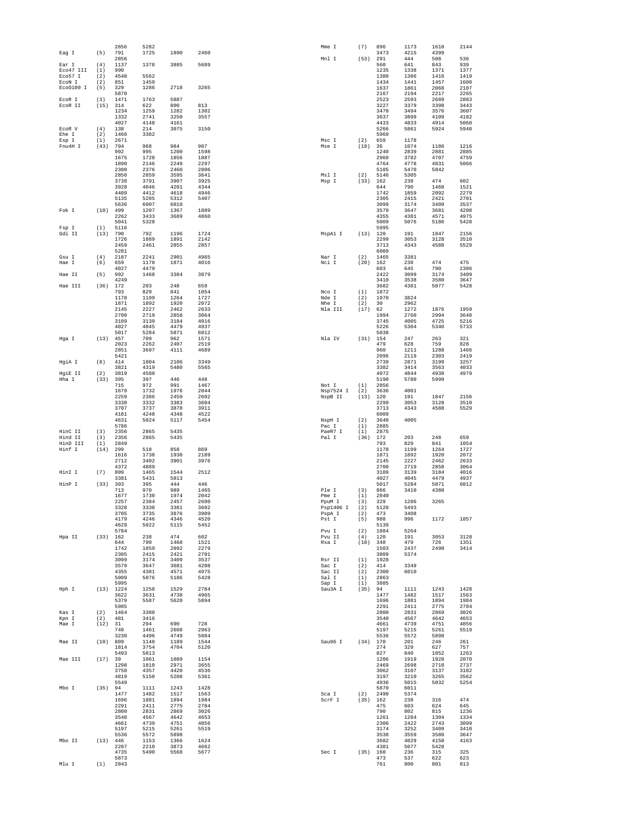| Eag I                | (5)            | 2856<br>791         | 5282<br>1725       | 1890         | 2460         | Mme I               | (7)              | 896<br>3473               | 1173<br>4215       | 1610<br>4399        | 2144                 |
|----------------------|----------------|---------------------|--------------------|--------------|--------------|---------------------|------------------|---------------------------|--------------------|---------------------|----------------------|
| Ear I                | (4)            | 2856<br>1137        | 1378               | 3885         | 5689         | Mnl I               | (53)             | 291<br>560                | 444<br>641         | 508<br>843          | 536<br>939           |
| Eco47 III<br>Eco57 I | (1)<br>(2)     | 990<br>4548         | 5562               |              |              |                     |                  | 1235<br>1380              | 1338<br>1386       | 1371<br>1416        | 1377<br>1419         |
| ECON I<br>Eco0109 I  | (2)<br>(5)     | 851<br>329          | 1459<br>1286       | 2718         | 3265         |                     |                  | 1434<br>1637              | 1441<br>1861       | 1457<br>2068        | 1600<br>2107         |
| ECOR I               | (3)            | 5870<br>1471        | 1763               | 5887         |              |                     |                  | 2167<br>2523              | 2194<br>2593       | 2217<br>2689        | 2265<br>2883         |
| ECOR II              | (15)           | 314<br>1234         | 622<br>1259        | 800<br>1282  | 813<br>1302  |                     |                  | 3227<br>3470              | 3379<br>3494       | 3398<br>3576        | 3443<br>3607         |
|                      |                | 1332                | 2741               | 3250         | 3557         |                     |                  | 3637                      | 3899               | 4109                | 4182                 |
| ECOR V               | (4)            | 4027<br>138         | 4148<br>214        | 4161<br>3075 | 3150         |                     |                  | 4433<br>5266              | 4833<br>5861       | 4914<br>5924        | 5060<br>5940         |
| Ehe I<br>Esp I       | (2)<br>(1)     | 1466<br>2671        | 3382               |              |              | Msc I               | (2)              | 5969<br>659               | 1178               |                     |                      |
| Fnu4H I              | (43)           | 794<br>992          | 968<br>995         | 984<br>1200  | 987<br>1598  | Mse I               | (19)             | 36<br>1240                | 1074<br>2839       | 1186<br>2881        | 1216<br>2885         |
|                      |                | 1675<br>1890        | 1728<br>2146       | 1856<br>2249 | 1887<br>2297 |                     |                  | 2968<br>4764              | 3782<br>4778       | 4707<br>4831        | 4759<br>5066         |
|                      |                | 2300<br>2856        | 2376<br>2859       | 2460<br>3595 | 2806<br>3641 | Msl I               | (2)              | 5105<br>5146              | 5470<br>5305       | 5842                |                      |
|                      |                | 3738<br>3928        | 3791<br>4046       | 3907<br>4201 | 3925<br>4344 | Msp I               | (33)             | 162<br>644                | 238<br>790         | 474<br>1468         | 602<br>1521          |
|                      |                | 4409<br>5135        | 4412<br>5285       | 4618<br>5312 | 4946<br>5407 |                     |                  | 1742<br>2305              | 1859<br>2415       | 2092<br>2421        | 2279<br>2701         |
|                      |                | 5636                | 6007               | 6010         |              |                     |                  | 3099                      | 3174               | 3409                | 3537                 |
| Fok I                | (10)           | 499<br>2262         | 1207<br>3433       | 1367<br>3689 | 1889<br>4860 |                     |                  | 3579<br>4355              | 3647<br>4381       | 3681<br>4571        | 4208<br>4975         |
| Fsp I                | (1)            | 5041<br>5116        | 5328               |              |              |                     |                  | 5009<br>5995              | 5076               | 5186                | 5428                 |
| Gdi II               | (13)           | 790<br>1726         | 792<br>1889        | 1196<br>1891 | 1724<br>2142 | MspAl I             |                  | (13) 120<br>2299          | 191<br>3053        | 1847<br>3128        | 2156<br>3510         |
|                      |                | 2459<br>5281        | 2461               | 2855         | 2857         |                     |                  | 3713<br>6009              | 4343               | 4588                | 5529                 |
| Gsu I<br>Hae I       | (4)<br>(6)     | 2187<br>659         | 2241<br>1178       | 2901<br>1871 | 4965<br>4016 | Nar I<br>Nci I      | (2)<br>(20)      | 1465<br>162               | 3381<br>238        | 474                 | 475                  |
| Hae II               | (5)            | 4027<br>992         | 4479<br>1468       | 3384         | 3879         |                     |                  | 603<br>2422               | 645<br>3099        | 790<br>3174         | 2306<br>3409         |
|                      |                | 4249                |                    |              |              |                     |                  | 3410                      | 3538               | 3580                | 3647                 |
| Hae III              | (36)           | 172<br>793          | 203<br>829         | 248<br>841   | 659<br>1054  | Nco I               | (1)              | 3682<br>1872              | 4381               | 5077                | 5428                 |
|                      |                | 1178<br>1871        | 1199<br>1892       | 1264<br>1920 | 1727<br>2072 | Nde I<br>Nhe I      | (2)<br>(2)       | 1970<br>30                | 3824<br>2962       |                     |                      |
|                      |                | 2145<br>2700        | 2227<br>2719       | 2462<br>2858 | 2633<br>3064 | Nla III             | (17)             | 62<br>1994                | 1272<br>2760       | 1876<br>2994        | 1959<br>3640         |
|                      |                | 3109<br>4027        | 3139<br>4045       | 3184<br>4479 | 4016<br>4937 |                     |                  | 3745<br>5226              | 4005<br>5304       | 4725<br>5340        | 5216<br>5733         |
| Hga I                | (13)           | 5017<br>457         | 5284<br>709        | 5871<br>962  | 6012<br>1571 | Nla IV              | (31)             | 5838<br>154               | 247                | 263                 | 321                  |
|                      |                | 2023<br>2851        | 2262<br>3697       | 2407<br>4111 | 2519<br>4689 |                     |                  | 479<br>960                | 628<br>1211        | 759<br>1288         | 828<br>1466          |
|                      |                | 5421                |                    |              |              |                     |                  | 2096                      | 2119               | 2303                | 2419                 |
| HgiA I               | (8)            | 414<br>3821         | 1804<br>4319       | 2106<br>5480 | 3349<br>5565 |                     |                  | 2739<br>3382              | 2871<br>3414       | 3199<br>3563        | 3257<br>4033         |
| HgiE II<br>Hha I     | (2)<br>(33)    | 3819<br>395         | 4580<br>397        | 446          | 448          |                     |                  | 4072<br>5190              | 4844<br>5780       | 4938<br>5999        | 4979                 |
|                      |                | 715<br>1679         | 972<br>1732        | 991<br>1976  | 1467<br>2044 | Not I<br>Nsp7524 I  | (1)<br>(2)       | 2856<br>3636              | 4001               |                     |                      |
|                      |                | 2259<br>3330        | 2386<br>3332       | 2459<br>3383 | 2602<br>3604 | NspB II             | (13)             | 120<br>2299               | 191<br>3053        | 1847<br>3128        | 2156<br>3510         |
|                      |                | 3707<br>4181        | 3737<br>4248       | 3878<br>4348 | 3911<br>4522 |                     |                  | 3713<br>6009              | 4343               | 4588                | 5529                 |
|                      |                | 4631<br>5786        | 5024               | 5117         | 5454         | NspH I<br>Pac I     | (2)<br>(1)       | 3640<br>2885              | 4005               |                     |                      |
| HinC II              | (3)            | 2356                | 2865               | 5435         |              | PaeR7 I             | (1)              | 2875                      |                    |                     |                      |
| Hind II<br>HinD III  | (3)<br>(1)     | 2356<br>2849        | 2865               | 5435         |              | Pal I               | (36)             | 172<br>793                | 203<br>829         | 248<br>841          | 659<br>1054          |
| Hinf I               | (14)           | 299<br>1616         | 518<br>1738        | 858<br>1938  | 869<br>2189  |                     |                  | 1178<br>1871              | 1199<br>1892       | 1264<br>1920        | 1727<br>2072         |
|                      |                | 2712<br>4372        | 3402<br>4889       | 3901         | 3976         |                     |                  | 2145<br>2700              | 2227<br>2719       | 2462<br>2858        | 2633<br>3064         |
| HinI I               | (7)            | 809<br>3381         | 1465<br>5431       | 1544<br>5813 | 2512         |                     |                  | 3109<br>4027              | 3139<br>4045       | 3184<br>4479        | 4016<br>4937         |
| HinP I               | (33)           | 393<br>713          | 395<br>970         | 444<br>989   | 446<br>1465  | Ple I               | (3)              | 5017<br>866               | 5284<br>3410       | 5871<br>4380        | 6012                 |
|                      |                | 1677<br>2257        | 1730<br>2384       | 1974<br>2457 | 2042<br>2600 | Pme I<br>PpuM I     | (1)<br>(3)       | 2840<br>329               | 1286               | 3265                |                      |
|                      |                | 3328<br>3705        | 333U<br>3735       | 3381<br>3876 | 3602<br>3909 | Psp1406 I<br>PspA I | (2)<br>(2)       | 5120<br>473               | 5493<br>3408       |                     |                      |
|                      |                | 4179<br>4629        | 4246<br>5022       | 4346<br>5115 | 4520<br>5452 | Pst I               | (5)              | 988<br>5139               | 996                | 1172                | 1857                 |
| Hpa II               |                | 5784                |                    | 474          | 602          | Pvu I               | (2)              | 1884                      | 5264               |                     |                      |
|                      | $(33)$ 162     | 644<br>1742         | 238<br>790<br>1859 | 1468<br>2092 | 1521<br>2279 | Pvu II<br>Rsa I     | (4)              | 120<br>$(10)$ 348<br>1503 | 191<br>479<br>2437 | 3053<br>726<br>2490 | 3128<br>1351<br>3414 |
|                      |                | 2305                | 2415               | 2421         | 2701         |                     |                  | 3809                      | 5374               |                     |                      |
|                      |                | 3099<br>3579        | 3174<br>3647       | 3409<br>3681 | 3537<br>4208 | Rsr II<br>Sac I     | (1)<br>(2)       | 1928<br>414               | 3349               |                     |                      |
|                      |                | 4355<br>5009        | 4381<br>5076       | 4571<br>5186 | 4975<br>5428 | Sac II<br>Sal I     | (2)<br>(1)       | 2300<br>2863              | 6010               |                     |                      |
| Hph I                |                | 5995<br>$(13)$ 1224 | 1250               | 1529         | 2784         | Sap I<br>Sau3A I    | (1)<br>$(35)$ 94 | 3885                      | 1111               | 1243                | 1428                 |
|                      |                | 3622<br>5379        | 3631<br>5587       | 4738<br>5620 | 4965<br>5894 |                     |                  | 1477<br>1696              | 1482<br>1881       | 1517<br>1894        | 1563<br>1984         |
| Kas I                | (2)            | 5985<br>1464        | 3380               |              |              |                     |                  | 2291<br>2800              | 2411<br>2831       | 2775<br>2869        | 2784<br>3026         |
| Kpn I<br>Mae I       | (2)<br>(12) 31 | 481                 | 3416<br>294        | 690          | 728          |                     |                  | 3540<br>4661              | 4567<br>4739       | 4642<br>4751        | 4653<br>4856         |
|                      |                | 740                 | 1461               | 2608         | 2963         |                     |                  | 5197                      | 5215               | 5261                | 5519                 |
| Mae II               |                | 3230<br>(10) 809    | 4496<br>1148       | 4749<br>1189 | 5084<br>1544 | Sau96 I             |                  | 5536<br>$(34)$ 170<br>274 | 5572<br>201        | 5898<br>246         | 261                  |
|                      |                | 1814<br>5493        | 3754<br>5813       | 4704         | 5120         |                     |                  | 827                       | 329<br>840         | 627<br>1052         | 757<br>1263          |
| Mae III              | (17) 39        | 1298                | 1061<br>1810       | 1089<br>2971 | 1154<br>3655 |                     |                  | 1286<br>2469              | 1919<br>2698       | 1928<br>2718        | 2070<br>2737         |
|                      |                | 3750<br>4819        | 4357<br>5150       | 4420<br>5208 | 4536<br>5361 |                     |                  | 3062<br>3197              | 3107<br>3210       | 3137<br>3265        | 3182<br>3562         |
| Mbo I                | $(35)$ 94      | 5549                | 1111               | 1243         | 1428         |                     |                  | 4936<br>5870              | 5015<br>6011       | 5032                | 5254                 |
|                      |                | 1477<br>1696        | 1482<br>1881       | 1517<br>1894 | 1563<br>1984 | Sca I<br>ScrF I     | (2)              | 2490<br>(35) 162          | 5374<br>238        | 316                 | 474                  |
|                      |                | 2291<br>2800        | 2411<br>2831       | 2775<br>2869 | 2784<br>3026 |                     |                  | 475<br>790                | 603<br>802         | 624<br>815          | 645<br>1236          |
|                      |                | 3540                | 4567               | 4642         | 4653         |                     |                  | 1261                      | 1284               | 1304                | 1334                 |
|                      |                | 4661<br>5197        | 4739<br>5215       | 4751<br>5261 | 4856<br>5519 |                     |                  | 2306<br>3174              | 2422<br>3252       | 2743<br>3409        | 3099<br>3410         |
| Mbo II               |                | 5536<br>(13) 446    | 5572<br>1153       | 5898<br>1366 | 1624         |                     |                  | 3538<br>3682              | 3559<br>4029       | 3580<br>4150        | 3647<br>4163         |
|                      |                | 2207<br>4735        | 2210<br>5490       | 3873<br>5568 | 4662<br>5677 | Sec I               |                  | 4381<br>(35) 160          | 5077<br>236        | 5428<br>315         | 325                  |
| Mlu I                | (1)            | 5873<br>2843        |                    |              |              |                     |                  | 473<br>761                | 537<br>800         | 622<br>801          | 623<br>813           |
|                      |                |                     |                    |              |              |                     |                  |                           |                    |                     |                      |